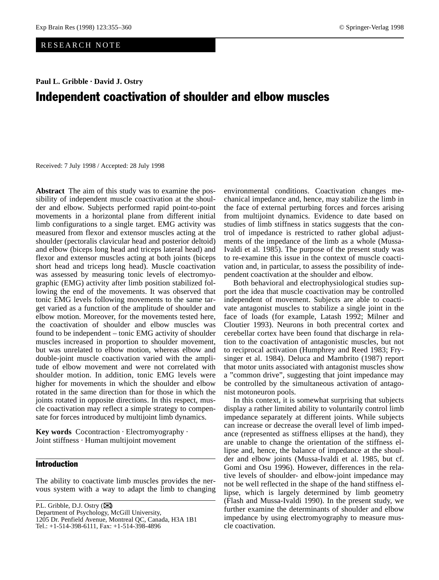## RESEARCH NOTE

**Paul L. Gribble · David J. Ostry**

# Independent coactivation of shoulder and elbow muscles

Received: 7 July 1998 / Accepted: 28 July 1998

**Abstract** The aim of this study was to examine the possibility of independent muscle coactivation at the shoulder and elbow. Subjects performed rapid point-to-point movements in a horizontal plane from different initial limb configurations to a single target. EMG activity was measured from flexor and extensor muscles acting at the shoulder (pectoralis clavicular head and posterior deltoid) and elbow (biceps long head and triceps lateral head) and flexor and extensor muscles acting at both joints (biceps short head and triceps long head). Muscle coactivation was assessed by measuring tonic levels of electromyographic (EMG) activity after limb position stabilized following the end of the movements. It was observed that tonic EMG levels following movements to the same target varied as a function of the amplitude of shoulder and elbow motion. Moreover, for the movements tested here, the coactivation of shoulder and elbow muscles was found to be independent – tonic EMG activity of shoulder muscles increased in proportion to shoulder movement, but was unrelated to elbow motion, whereas elbow and double-joint muscle coactivation varied with the amplitude of elbow movement and were not correlated with shoulder motion. In addition, tonic EMG levels were higher for movements in which the shoulder and elbow rotated in the same direction than for those in which the joints rotated in opposite directions. In this respect, muscle coactivation may reflect a simple strategy to compensate for forces introduced by multijoint limb dynamics.

**Key words** Cocontraction · Electromyography · Joint stiffness · Human multijoint movement

## Introduction

The ability to coactivate limb muscles provides the nervous system with a way to adapt the limb to changing

P.L. Gribble, D.J. Ostry  $(\mathbb{X})$ 

Tel.: +1-514-398-6111, Fax: +1-514-398-4896

environmental conditions. Coactivation changes mechanical impedance and, hence, may stabilize the limb in the face of external perturbing forces and forces arising from multijoint dynamics. Evidence to date based on studies of limb stiffness in statics suggests that the control of impedance is restricted to rather global adjustments of the impedance of the limb as a whole (Mussa-Ivaldi et al. 1985). The purpose of the present study was to re-examine this issue in the context of muscle coactivation and, in particular, to assess the possibility of independent coactivation at the shoulder and elbow.

Both behavioral and electrophysiological studies support the idea that muscle coactivation may be controlled independent of movement. Subjects are able to coactivate antagonist muscles to stabilize a single joint in the face of loads (for example, Latash 1992; Milner and Cloutier 1993). Neurons in both precentral cortex and cerebellar cortex have been found that discharge in relation to the coactivation of antagonistic muscles, but not to reciprocal activation (Humphrey and Reed 1983; Frysinger et al. 1984). Deluca and Mambrito (1987) report that motor units associated with antagonist muscles show a "common drive", suggesting that joint impedance may be controlled by the simultaneous activation of antagonist motoneuron pools.

In this context, it is somewhat surprising that subjects display a rather limited ability to voluntarily control limb impedance separately at different joints. While subjects can increase or decrease the overall level of limb impedance (represented as stiffness ellipses at the hand), they are unable to change the orientation of the stiffness ellipse and, hence, the balance of impedance at the shoulder and elbow joints (Mussa-Ivaldi et al. 1985, but cf. Gomi and Osu 1996). However, differences in the relative levels of shoulder- and elbow-joint impedance may not be well reflected in the shape of the hand stiffness ellipse, which is largely determined by limb geometry (Flash and Mussa-Ivaldi 1990). In the present study, we further examine the determinants of shoulder and elbow impedance by using electromyography to measure muscle coactivation.

Department of Psychology, McGill University,

<sup>1205</sup> Dr. Penfield Avenue, Montreal QC, Canada, H3A 1B1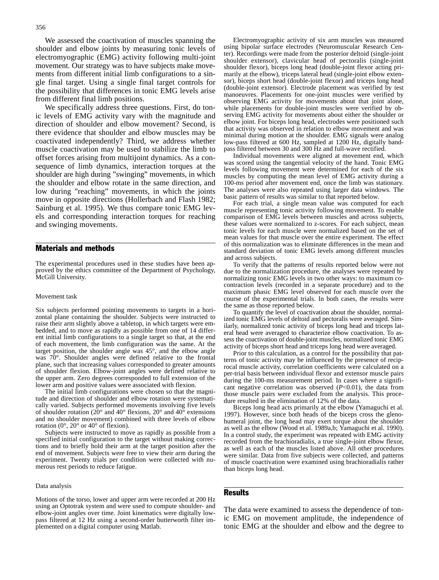We assessed the coactivation of muscles spanning the shoulder and elbow joints by measuring tonic levels of electromyographic (EMG) activity following multi-joint movement. Our strategy was to have subjects make movements from different initial limb configurations to a single final target. Using a single final target controls for the possibility that differences in tonic EMG levels arise from different final limb positions.

We specifically address three questions. First, do tonic levels of EMG activity vary with the magnitude and direction of shoulder and elbow movement? Second, is there evidence that shoulder and elbow muscles may be coactivated independently? Third, we address whether muscle coactivation may be used to stabilize the limb to offset forces arising from multijoint dynamics. As a consequence of limb dynamics, interaction torques at the shoulder are high during "swinging" movements, in which the shoulder and elbow rotate in the same direction, and low during "reaching" movements, in which the joints move in opposite directions (Hollerbach and Flash 1982; Sainburg et al. 1995). We thus compare tonic EMG levels and corresponding interaction torques for reaching and swinging movements.

## Materials and methods

The experimental procedures used in these studies have been approved by the ethics committee of the Department of Psychology, McGill University.

#### Movement task

Six subjects performed pointing movements to targets in a horizontal plane containing the shoulder. Subjects were instructed to raise their arm slightly above a tabletop, in which targets were embedded, and to move as rapidly as possible from one of 14 different initial limb configurations to a single target so that, at the end of each movement, the limb configuration was the same. At the target position, the shoulder angle was 45°, and the elbow angle was 70°. Shoulder angles were defined relative to the frontal plane, such that increasing values corresponded to greater amounts of shoulder flexion. Elbow-joint angles were defined relative to the upper arm. Zero degrees corresponded to full extension of the lower arm and positive values were associated with flexion.

The initial limb configurations were chosen so that the magnitude and direction of shoulder and elbow rotation were systematically varied. Subjects performed movements involving five levels of shoulder rotation ( $20^{\circ}$  and  $40^{\circ}$  flexions,  $20^{\circ}$  and  $40^{\circ}$  extensions and no shoulder movement) combined with three levels of elbow rotation ( $0^\circ$ ,  $20^\circ$  or  $40^\circ$  of flexion).

Subjects were instructed to move as rapidly as possible from a specified initial configuration to the target without making corrections and to briefly hold their arm at the target position after the end of movement. Subjects were free to view their arm during the experiment. Twenty trials per condition were collected with numerous rest periods to reduce fatigue.

#### Data analysis

Motions of the torso, lower and upper arm were recorded at 200 Hz using an Optotrak system and were used to compute shoulder- and elbow-joint angles over time. Joint kinematics were digitally lowpass filtered at 12 Hz using a second-order butterworth filter implemented on a digital computer using Matlab.

Electromyographic activity of six arm muscles was measured using bipolar surface electrodes (Neuromuscular Research Center). Recordings were made from the posterior deltoid (single-joint shoulder extensor), clavicular head of pectoralis (single-joint shoulder flexor), biceps long head (double-joint flexor acting primarily at the elbow), triceps lateral head (single-joint elbow extensor), biceps short head (double-joint flexor) and triceps long head (double-joint extensor). Electrode placement was verified by test manoeuvres. Placements for one-joint muscles were verified by observing EMG activity for movements about that joint alone, while placements for double-joint muscles were verified by observing EMG activity for movements about either the shoulder or elbow joint. For biceps long head, electrodes were positioned such that activity was observed in relation to elbow movement and was minimal during motion at the shoulder. EMG signals were analog low-pass filtered at 600 Hz, sampled at 1200 Hz, digitally bandpass filtered between 30 and 300 Hz and full-wave rectified.

Individual movements were aligned at movement end, which was scored using the tangential velocity of the hand. Tonic EMG levels following movement were determined for each of the six muscles by computing the mean level of EMG activity during a 100-ms period after movement end, once the limb was stationary. The analyses were also repeated using larger data windows. The basic pattern of results was similar to that reported below.

For each trial, a single mean value was computed for each muscle representing tonic activity following movement. To enable comparison of EMG levels between muscles and across subjects, these values were normalized to z-scores. For each subject, mean tonic levels for each muscle were normalized based on the set of mean values for that muscle over the entire experiment. The effect of this normalization was to eliminate differences in the mean and standard deviation of tonic EMG levels among different muscles and across subjects.

To verify that the patterns of results reported below were not due to the normalization procedure, the analyses were repeated by normalizing tonic EMG levels in two other ways: to maximum cocontraction levels (recorded in a separate procedure) and to the maximum phasic EMG level observed for each muscle over the course of the experimental trials. In both cases, the results were the same as those reported below.

To quantify the level of coactivation about the shoulder, normalized tonic EMG levels of deltoid and pectoralis were averaged. Similarly, normalized tonic activity of biceps long head and triceps lateral head were averaged to characterize elbow coactivation. To assess the coactivation of double-joint muscles, normalized tonic EMG activity of biceps short head and triceps long head were averaged.

Prior to this calculation, as a control for the possibility that patterns of tonic activity may be influenced by the presence of reciprocal muscle activity, correlation coefficients were calculated on a per-trial basis between individual flexor and extensor muscle pairs during the 100-ms measurement period. In cases where a significant negative correlation was observed  $(P<0.01)$ , the data from those muscle pairs were excluded from the analysis. This procedure resulted in the elimination of 12% of the data.

Biceps long head acts primarily at the elbow (Yamaguchi et al. 1997). However, since both heads of the biceps cross the glenohumeral joint, the long head may exert torque about the shoulder as well as the elbow (Wood et al. 1989a,b; Yamaguchi et al. 1990). In a control study, the experiment was repeated with EMG activity recorded from the brachioradialis, a true single-joint elbow flexor, as well as each of the muscles listed above. All other procedures were similar. Data from five subjects were collected, and patterns of muscle coactivation were examined using brachioradialis rather than biceps long head.

### Results

The data were examined to assess the dependence of tonic EMG on movement amplitude, the independence of tonic EMG at the shoulder and elbow and the degree to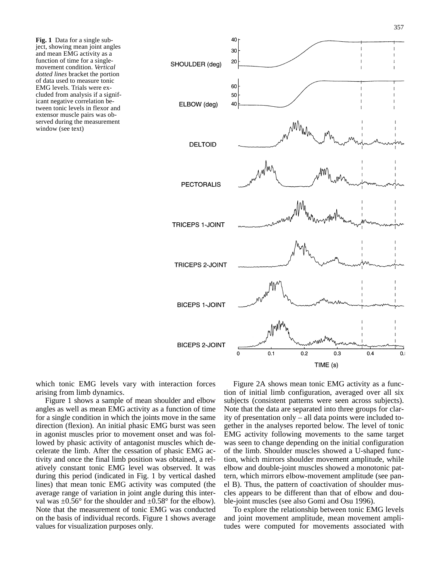**Fig. 1** Data for a single subject, showing mean joint angles and mean EMG activity as a function of time for a singlemovement condition. *Vertical dotted lines* bracket the portion of data used to measure tonic EMG levels. Trials were excluded from analysis if a significant negative correlation between tonic levels in flexor and extensor muscle pairs was observed during the measurement window (see text)



which tonic EMG levels vary with interaction forces arising from limb dynamics.

Figure 1 shows a sample of mean shoulder and elbow angles as well as mean EMG activity as a function of time for a single condition in which the joints move in the same direction (flexion). An initial phasic EMG burst was seen in agonist muscles prior to movement onset and was followed by phasic activity of antagonist muscles which decelerate the limb. After the cessation of phasic EMG activity and once the final limb position was obtained, a relatively constant tonic EMG level was observed. It was during this period (indicated in Fig. 1 by vertical dashed lines) that mean tonic EMG activity was computed (the average range of variation in joint angle during this interval was  $\pm 0.56^{\circ}$  for the shoulder and  $\pm 0.58^{\circ}$  for the elbow). Note that the measurement of tonic EMG was conducted on the basis of individual records. Figure 1 shows average values for visualization purposes only.

Figure 2A shows mean tonic EMG activity as a function of initial limb configuration, averaged over all six subjects (consistent patterns were seen across subjects). Note that the data are separated into three groups for clarity of presentation only – all data points were included together in the analyses reported below. The level of tonic EMG activity following movements to the same target was seen to change depending on the initial configuration of the limb. Shoulder muscles showed a U-shaped function, which mirrors shoulder movement amplitude, while elbow and double-joint muscles showed a monotonic pattern, which mirrors elbow-movement amplitude (see panel B). Thus, the pattern of coactivation of shoulder muscles appears to be different than that of elbow and double-joint muscles (see also Gomi and Osu 1996).

To explore the relationship between tonic EMG levels and joint movement amplitude, mean movement amplitudes were computed for movements associated with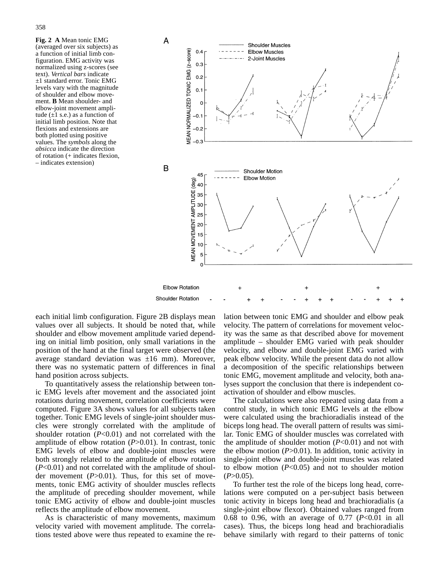**Fig. 2 A** Mean tonic EMG (averaged over six subjects) as a function of initial limb configuration. EMG activity was normalized using z-scores (see text). *Vertical bars* indicate ±1 standard error. Tonic EMG levels vary with the magnitude of shoulder and elbow movement. **B** Mean shoulder- and elbow-joint movement amplitude  $(\pm 1 \text{ s.e.})$  as a function of initial limb position. Note that flexions and extensions are both plotted using positive values. The *symbols* along the *absicca* indicate the direction of rotation (+ indicates flexion, – indicates extension)



each initial limb configuration. Figure 2B displays mean values over all subjects. It should be noted that, while shoulder and elbow movement amplitude varied depending on initial limb position, only small variations in the position of the hand at the final target were observed (the average standard deviation was  $\pm 16$  mm). Moreover, there was no systematic pattern of differences in final hand position across subjects.

To quantitatively assess the relationship between tonic EMG levels after movement and the associated joint rotations during movement, correlation coefficients were computed. Figure 3A shows values for all subjects taken together. Tonic EMG levels of single-joint shoulder muscles were strongly correlated with the amplitude of shoulder rotation (*P*<0.01) and not correlated with the amplitude of elbow rotation (*P*>0.01). In contrast, tonic EMG levels of elbow and double-joint muscles were both strongly related to the amplitude of elbow rotation (*P*<0.01) and not correlated with the amplitude of shoulder movement (*P*>0.01). Thus, for this set of movements, tonic EMG activity of shoulder muscles reflects the amplitude of preceding shoulder movement, while tonic EMG activity of elbow and double-joint muscles reflects the amplitude of elbow movement.

As is characteristic of many movements, maximum velocity varied with movement amplitude. The correlations tested above were thus repeated to examine the relation between tonic EMG and shoulder and elbow peak velocity. The pattern of correlations for movement velocity was the same as that described above for movement amplitude – shoulder EMG varied with peak shoulder velocity, and elbow and double-joint EMG varied with peak elbow velocity. While the present data do not allow a decomposition of the specific relationships between tonic EMG, movement amplitude and velocity, both analyses support the conclusion that there is independent coactivation of shoulder and elbow muscles.

The calculations were also repeated using data from a control study, in which tonic EMG levels at the elbow were calculated using the brachioradialis instead of the biceps long head. The overall pattern of results was similar. Tonic EMG of shoulder muscles was correlated with the amplitude of shoulder motion (*P*<0.01) and not with the elbow motion  $(P>0.01)$ . In addition, tonic activity in single-joint elbow and double-joint muscles was related to elbow motion (*P*<0.05) and not to shoulder motion  $(P>0.05)$ .

To further test the role of the biceps long head, correlations were computed on a per-subject basis between tonic activity in biceps long head and brachioradialis (a single-joint elbow flexor). Obtained values ranged from 0.68 to 0.96, with an average of 0.77 (*P*<0.01 in all cases). Thus, the biceps long head and brachioradialis behave similarly with regard to their patterns of tonic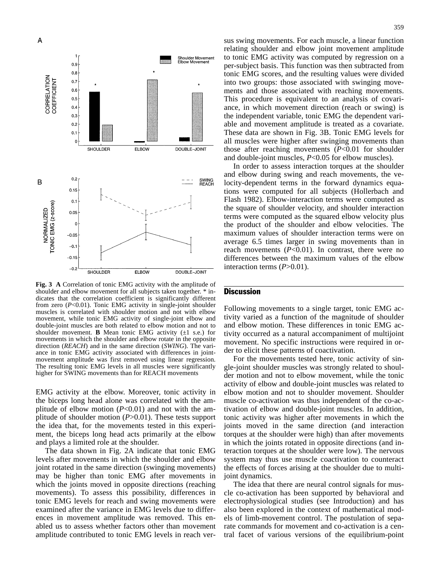

**Fig. 3 A** Correlation of tonic EMG activity with the amplitude of shoulder and elbow movement for all subjects taken together. \* indicates that the correlation coefficient is significantly different from zero (*P*<0.01). Tonic EMG activity in single-joint shoulder muscles is correlated with shoulder motion and not with elbow movement, while tonic EMG activity of single-joint elbow and double-joint muscles are both related to elbow motion and not to shoulder movement. **B** Mean tonic EMG activity  $(\pm 1 \text{ s.e.})$  for movements in which the shoulder and elbow rotate in the opposite direction (*REACH*) and in the same direction (*SWING*). The variance in tonic EMG activity associated with differences in jointmovement amplitude was first removed using linear regression. The resulting tonic EMG levels in all muscles were significantly higher for SWING movements than for REACH movements

EMG activity at the elbow. Moreover, tonic activity in the biceps long head alone was correlated with the amplitude of elbow motion  $(P<0.01)$  and not with the amplitude of shoulder motion (*P*>0.01). These tests support the idea that, for the movements tested in this experiment, the biceps long head acts primarily at the elbow and plays a limited role at the shoulder.

The data shown in Fig. 2A indicate that tonic EMG levels after movements in which the shoulder and elbow joint rotated in the same direction (swinging movements) may be higher than tonic EMG after movements in which the joints moved in opposite directions (reaching movements). To assess this possibility, differences in tonic EMG levels for reach and swing movements were examined after the variance in EMG levels due to differences in movement amplitude was removed. This enabled us to assess whether factors other than movement amplitude contributed to tonic EMG levels in reach versus swing movements. For each muscle, a linear function relating shoulder and elbow joint movement amplitude to tonic EMG activity was computed by regression on a per-subject basis. This function was then subtracted from tonic EMG scores, and the resulting values were divided into two groups: those associated with swinging movements and those associated with reaching movements. This procedure is equivalent to an analysis of covariance, in which movement direction (reach or swing) is the independent variable, tonic EMG the dependent variable and movement amplitude is treated as a covariate. These data are shown in Fig. 3B. Tonic EMG levels for all muscles were higher after swinging movements than those after reaching movements (*P*<0.01 for shoulder and double-joint muscles, *P*<0.05 for elbow muscles).

In order to assess interaction torques at the shoulder and elbow during swing and reach movements, the velocity-dependent terms in the forward dynamics equations were computed for all subjects (Hollerbach and Flash 1982). Elbow-interaction terms were computed as the square of shoulder velocity, and shoulder interaction terms were computed as the squared elbow velocity plus the product of the shoulder and elbow velocities. The maximum values of shoulder interaction terms were on average 6.5 times larger in swing movements than in reach movements  $(P<0.01)$ . In contrast, there were no differences between the maximum values of the elbow interaction terms (*P*>0.01).

## **Discussion**

Following movements to a single target, tonic EMG activity varied as a function of the magnitude of shoulder and elbow motion. These differences in tonic EMG activity occurred as a natural accompaniment of multijoint movement. No specific instructions were required in order to elicit these patterns of coactivation.

For the movements tested here, tonic activity of single-joint shoulder muscles was strongly related to shoulder motion and not to elbow movement, while the tonic activity of elbow and double-joint muscles was related to elbow motion and not to shoulder movement. Shoulder muscle co-activation was thus independent of the co-activation of elbow and double-joint muscles. In addition, tonic activity was higher after movements in which the joints moved in the same direction (and interaction torques at the shoulder were high) than after movements in which the joints rotated in opposite directions (and interaction torques at the shoulder were low). The nervous system may thus use muscle coactivation to counteract the effects of forces arising at the shoulder due to multijoint dynamics.

The idea that there are neural control signals for muscle co-activation has been supported by behavioral and electrophysiological studies (see Introduction) and has also been explored in the context of mathematical models of limb-movement control. The postulation of separate commands for movement and co-activation is a central facet of various versions of the equilibrium-point